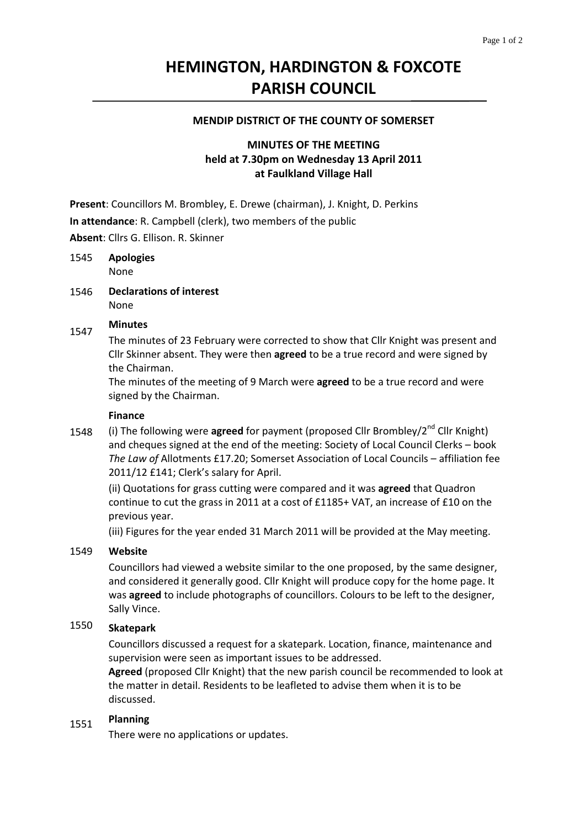# **HEMINGTON, HARDINGTON & FOXCOTE PARISH COUNCIL**

# **MENDIP DISTRICT OF THE COUNTY OF SOMERSET**

# **MINUTES OF THE MEETING held at 7.30pm on Wednesday 13 April 2011 at Faulkland Village Hall**

**Present**: Councillors M. Brombley, E. Drewe (chairman), J. Knight, D. Perkins

**In attendance**: R. Campbell (clerk), two members of the public

**Absent**: Cllrs G. Ellison. R. Skinner

#### 1545 **Apologies** None

1546 **Declarations of interest** None

#### 1547 **Minutes**

The minutes of 23 February were corrected to show that Cllr Knight was present and Cllr Skinner absent. They were then **agreed** to be a true record and were signed by the Chairman.

The minutes of the meeting of 9 March were **agreed** to be a true record and were signed by the Chairman.

# **Finance**

1548 (i) The following were **agreed** for payment (proposed Cllr Brombley/2<sup>nd</sup> Cllr Knight) and cheques signed at the end of the meeting: Society of Local Council Clerks – book *The Law of* Allotments £17.20; Somerset Association of Local Councils – affiliation fee 2011/12 £141; Clerk's salary for April.

(ii) Quotations for grass cutting were compared and it was **agreed** that Quadron continue to cut the grass in 2011 at a cost of £1185+ VAT, an increase of £10 on the previous year.

(iii) Figures for the year ended 31 March 2011 will be provided at the May meeting.

#### 1549 **Website**

Councillors had viewed a website similar to the one proposed, by the same designer, and considered it generally good. Cllr Knight will produce copy for the home page. It was **agreed** to include photographs of councillors. Colours to be left to the designer, Sally Vince.

#### 1550 **Skatepark**

Councillors discussed a request for a skatepark. Location, finance, maintenance and supervision were seen as important issues to be addressed.

**Agreed** (proposed Cllr Knight) that the new parish council be recommended to look at the matter in detail. Residents to be leafleted to advise them when it is to be discussed.

#### 1551 **Planning**

There were no applications or updates.